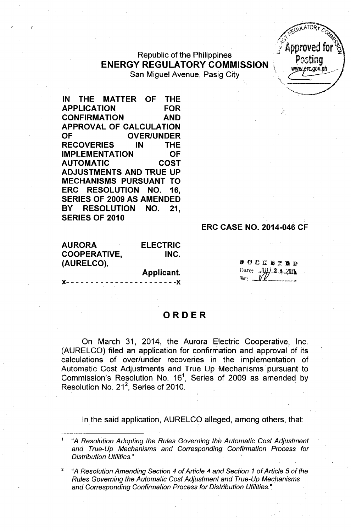## Republic of the Philippines ENERGY REGULATORY COMMISSION

San Miguel Avenue, Pasig City

IN THE MATTER OF THE APPLICATION FOR CONFIRMATION AND APPROVAL OF CALCULATION OF OVER/UNDER RECOVERIES IN THE IMPLEMENTATION OF AUTOMATIC COST ADJUSTMENTS AND TRUE UP MECHANISMS PURSUANT TO ERC RESOLUTION NO. 16, SERIES OF 2009 AS AMENDED BY RESOLUTION NO. 21, SERIES OF 2010

## ERC CASE NO. 2014-046 CF

AURORA COOPERATIVE, (AURELCO), ELECTRIC INC.

Applicant. )(- - - - - - - - - - - - - - - - - - - - - - -)(

**SOCKBTED** Date: JUL 28 2014

## ORDER

On March 31, 2014, the Aurora Electric Cooperative, Inc. (AURELCO) filed an application for confirmation and approval of its calculations of over/under recoveries in the implementation of Automatic Cost Adjustments and True Up Mechanisms pursuant to Commission's Resolution No. 16<sup>1</sup>, Series of 2009 as amended by Resolution No. 21 $^2$ , Series of 2010.

In the said application, AURELCO alleged, among others, that:

<sup>1</sup> "A *Resolution Adopting the Rules Governing the Automatic Cost Adjustment and True-Up Mechanisms and Corresponding Confirmation Process for Distribution Utilities." .*

<sup>2</sup> "A *Resolution Amending Section* 4 of *Article* 4 *and Section* 1 of *Article* 5 of *the Rules Governing the Automatic Cost Adjustment and True-Up Mechanisms and Corresponding Confirmation Process for Distribution Utilities."*

addroved to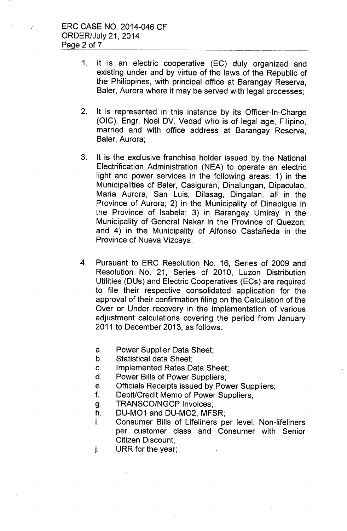- 1. It is an electric cooperative (EC) duly organized and existing under and by virtue of the laws of the Republic of the Philippines, with principal office at Barangay Reserva, Baler, Aurora where it may be served with legal processes;
- 2. It is represented in this instance by its Officer-In-Charge (OIC), Engr. Noel DV. Vedad who is of legal age, Filipino, married and with office address at Barangay Reserva, Baler, Aurora;
- 3. It is the exclusive franchise holder issued by the National Electrification Administration (NEA) to operate an electric light and power services in the following areas: 1) in the Municipalities of Baler, Casiguran, Dinalungan, Dipaculao, Maria Aurora, San Luis, Dilasag, Dingalan, all in the Province of Aurora; 2) in the Municipality of Dinapigue in the Province of Isabela; 3) in Barangay Umiray in the Municipality of General Nakar in the Province of Quezon; and 4) in the Municipality of Alfonso Castañeda in the Province of Nueva Vizcaya;
- 4. Pursuant to ERC Resolution No. 16, Series of 2009 and Resolution No. 21, Series of 2010, Luzon Distribution Utilities (DUs) and Electric Cooperatives (ECs) are required to file their respective consolidated application for the approval of their confirmation filing on the Calculation of the Over or Under recovery in the implementation of various adjustment calculations covering the period from January 2011 to December 2013, as follows:
	- a. Power Supplier Data Sheet;
	- b. Statistical data Sheet;
	- c. Implemented Rates Data Sheet;
	- d. Power Bills of Power Suppliers;
	- e. Officials Receipts issued by Power Suppliers;
	- f. Debit/Credit Memo of Power Suppliers;
	- g. TRANSCO/NGCP Invoices;
	- h. DU-M01 and DU-M02, MFSR;
	- i. Consumer Bills of Lifeliners per level, Non-lifeliners per customer class and Consumer with Senior Citizen Discount;
	- j. URR for the year;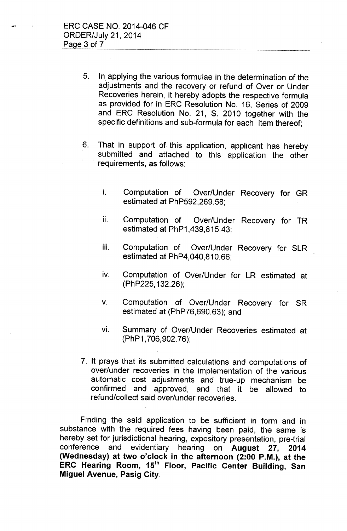- 5. In applying the various formulae in the determination of the adjustments and the recovery or refund of Over or Under Recoveries herein, it hereby adopts the respective formula as provided for in ERC Resolution No. 16, Series of 2009 and ERC Resolution No. 21, S. 2010 together with the specific definitions and sub-formula for each item thereof;
- 6. That in support of this application, applicant has hereby submitted and attached to this application the other . requirements, as follows:
	- i. Computation of Over/Under Recovery for GR estimated at PhP592,269.58;
	- ii. Computation of Over/Under Recovery for TR estimated at PhP1 ,439,815.43;
	- iii. Computation of Over/Under Recovery for SLR estimated at PhP4,040,810.66;
	- iv. Computation of Over/Under for LR estimated at (PhP225,132.26);
	- v. Computation of Over/Under Recovery for SR estimated at (PhP76,690.63); and
	- vi. Summary of Over/Under Recoveries estimated at (PhP1, 706,902. 76);
- 7. It prays that its submitted calculations and computations of over/under recoveries in the implementation of the various automatic cost adjustments and true-up mechanism be confirmed and approved, and that it be allowed to refund/collect said over/under recoveries.

Finding the said application to be sufficient in form and in substance with the required fees having been paid, the same is hereby set for jurisdictional hearing, expository presentation, pre-trial conference and evidentiary hearing on August 27, 2014 (Wednesday) at two o'clock in the afternoon (2:00 P.M.), at the ERC Hearing Room, 15<sup>th</sup> Floor, Pacific Center Building, San Miguel Avenue, Pasig City.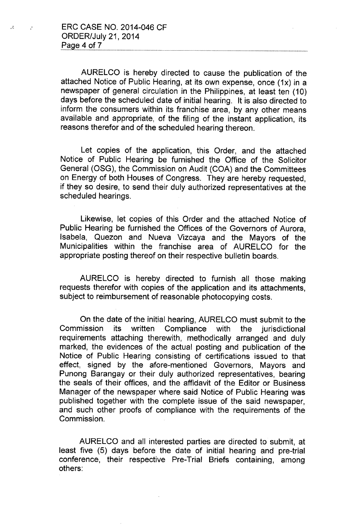AURELCO is hereby directed to cause the publication of the attached Notice of Public Hearing, at its own expense, once (1x) in a newspaper of general circulation in the Philippines, at least ten (10) days before the scheduled date of initial hearing. It is also directed to inform the consumers within its franchise area, by any other means available and appropriate, of the filing of the instant application, its reasons therefor and of the scheduled hearing thereon.

Let copies of the application, this Order, and the attached Notice of Public Hearing be furnished the Office of the Solicitor General (OSG), the Commission on Audit (COA) and the Committees on Energy of both Houses of Congress. They are hereby requested, if they so desire, to send their duly authorized representatives at the scheduled hearings.

Likewise, let copies of this Order and the attached Notice of Public Hearing be furnished the Offices of the Governors of Aurora, Isabela, Quezon and Nueva Vizcaya and the Mayors of the Municipalities within the franchise area of AURELCO for the appropriate posting thereof on their respective bulletin boards.

AURELCO is hereby directed to furnish all those making requests therefor with copies of the application and its attachments, subject to reimbursement of reasonable photocopying costs.

On the date of the initial hearing, AURELCO must submit to the Commission its written Compliance with the jurisdictional requirements attaching therewith, methodically arranged and duly marked, the evidences of the actual posting and publication of the Notice of Public Hearing consisting of certifications issued to that effect, signed by the afore-mentioned Governors, Mayors and Punong Barangay or their duly authorized representatives, bearing the seals of their offices, and the affidavit of the Editor or Business Manager of the newspaper where said Notice of Public Hearing was published together with the complete issue of the said newspaper, and such other proofs of compliance with the requirements of the Commission.

AURELCO and all interested parties are directed to submit, at least five (5) days before the date of initial hearing and pre-trial conference, their respective Pre-Trial Briefs containing, among others:

 $\mathcal{I}$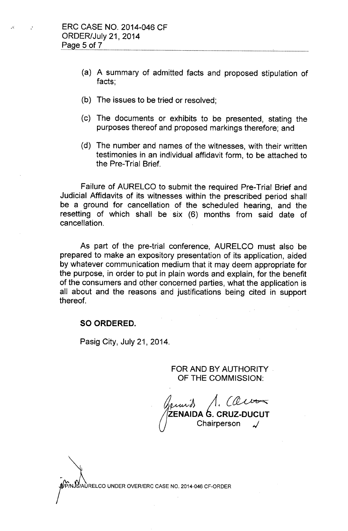- (a) A summary of admitted facts and proposed stipulation of facts;
- (b) The issues to be tried or resolved;
- (c) The documents or exhibits to be presented, stating the purposes thereof and proposed markings therefore; and
- (d) The number and names of the witnesses, with their written testimonies in an individual affidavit form, to be attached to the Pre-Trial Brief.

Failure of AURELCO to submit the required Pre-Trial Brief and Judicial Affidavits of its witnesses within the prescribed period shall be a ground for cancellation of the scheduled hearing, and the resetting of which shall be six (6) months from said date of cancellation ..

As part of the pre-trial conference, AURELCO must also be prepared to make an expository presentation of its application, aided by whatever communication medium that it may deem appropriate for the purpose, in order to put in plain words and explain, for the benefit of the consumers and other concerned parties, what the application is all about and the reasons and justifications being cited in support thereof.

## **SO ORDERED.**

Pasig City, July 21, 2014.

FOR AND BY AUTHORITY . OF THE COMMISSION:

*(J <u>Jennis 1. Caum*</u> **ZENAIDA** 6.'CRUZ-DUCUT **Chairperson** 

P/NJS/AÙRELCO UNDER OVER/ERC CASE NO. 2014-046 CF-ORDER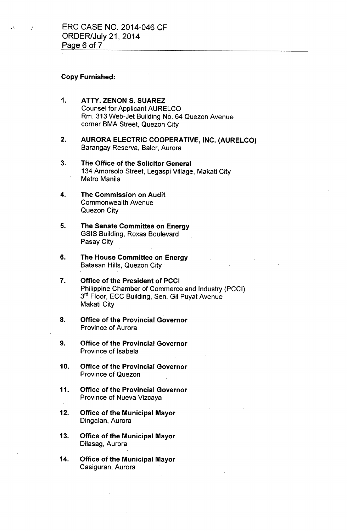Copy Furnished:

- 1. ATTY. ZENON S. SUAREZ Counsel for Applicant AURELCO Rm. 313 Web-Jet Building No. 64 Quezon Avenue corner BMA Street, Quezon City
- 2. AURORA ELECTRIC COOPERATIVE, INC. (AURELCO) Barangay Reserva, Baler, Aurora
- 3. The Office of the Solicitor General 134 Amorsolo Street, Legaspi Village, Makati City Metro Manila
- 4. The Commission on Audit Commonwealth Avenue Quezon City
- 5. The Senate Committee on Energy GSIS Building, Roxas Boulevard Pasay City
- 6. The House Committee on Energy Batasan Hills, Quezon City
- 7. Office of the President of PCCI Philippine Chamber of Commerce and Industry (PCCI) 3<sup>rd</sup> Floor, ECC Building, Sen. Gil Puyat Avenue Makati City
- 8. Office of the Provincial Governor Province of Aurora
- 9. Office of the Provincial Governor Province of Isabela
- 10. Office of the Provincial Governor Province of Quezon
- 11. Office of the Provincial Governor Province of Nueva Vizcaya
- 12. Office of the Municipal Mayor Dingalan, Aurora
- 13. Office of the Municipal Mayor Dilasag, Aurora
- 14. Office of the Municipal Mayor Casiguran, Aurora